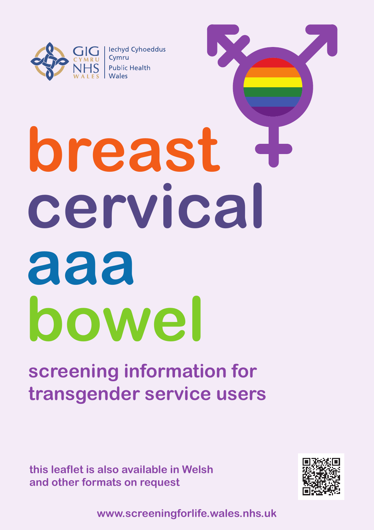

 $\overline{\phantom{a}}$  | lechyd Cyhoeddus Cymru **Public Health** 

# **breast cervical aaa bowel**

# **screening information for transgender service users**

**this leaflet is also available in Welsh and other formats on request**



**www.screeningforlife.wales.nhs.uk**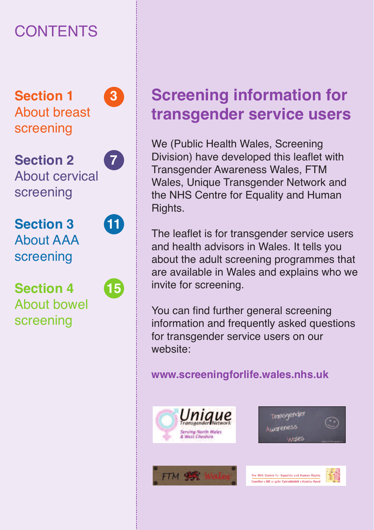# **CONTENTS**

**Section 1 3** About breast screening

**Section 2 7** About cervical screening



**Section 3 11** About AAA screening

screening



# **Screening information for transgender service users**

We (Public Health Wales, Screening Division) have developed this leaflet with Transgender Awareness Wales, FTM Wales, Unique Transgender Network and the NHS Centre for Equality and Human Rights.

The leaflet is for transgender service users and health advisors in Wales. It tells you about the adult screening programmes that are available in Wales and explains who we invite for screening.

You can find further general screening information and frequently asked questions for transgender service users on our website:

#### **www.screeningforlife.wales.nhs.uk**









The NHS Centre for Equality and Human Rights

.<br>Casolfan y GIG ar gyfer Cydraddaldeb a Hawliau Dynal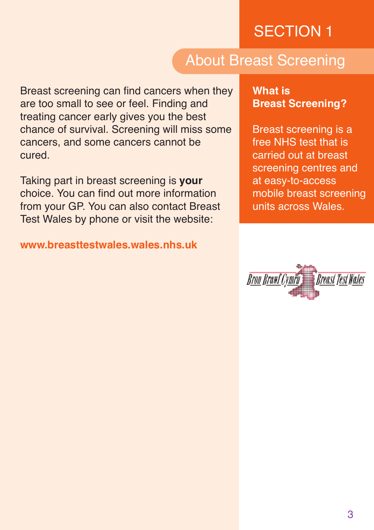## About Breast Screening

Breast screening can find cancers when they are too small to see or feel. Finding and treating cancer early gives you the best chance of survival. Screening will miss some cancers, and some cancers cannot be cured.

Taking part in breast screening is **your** choice. You can find out more information from your GP. You can also contact Breast Test Wales by phone or visit the website:

**www.breasttestwales.wales.nhs.uk**

#### **What is Breast Screening?**

Breast screening is a free NHS test that is carried out at breast screening centres and at easy-to-access mobile breast screening units across Wales.

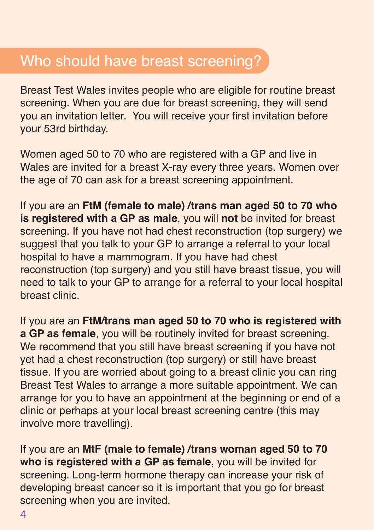#### Who should have breast screening?

Breast Test Wales invites people who are eligible for routine breast screening. When you are due for breast screening, they will send you an invitation letter. You will receive your first invitation before your 53rd birthday.

Women aged 50 to 70 who are registered with a GP and live in Wales are invited for a breast X-ray every three years. Women over the age of 70 can ask for a breast screening appointment.

If you are an **FtM (female to male) /trans man aged 50 to 70 who is registered with a GP as male**, you will **not** be invited for breast screening. If you have not had chest reconstruction (top surgery) we suggest that you talk to your GP to arrange a referral to your local hospital to have a mammogram. If you have had chest reconstruction (top surgery) and you still have breast tissue, you will need to talk to your GP to arrange for a referral to your local hospital breast clinic.

If you are an **FtM/trans man aged 50 to 70 who is registered with a GP as female**, you will be routinely invited for breast screening. We recommend that you still have breast screening if you have not yet had a chest reconstruction (top surgery) or still have breast tissue. If you are worried about going to a breast clinic you can ring Breast Test Wales to arrange a more suitable appointment. We can arrange for you to have an appointment at the beginning or end of a clinic or perhaps at your local breast screening centre (this may involve more travelling).

If you are an **MtF (male to female) /trans woman aged 50 to 70 who is registered with a GP as female**, you will be invited for screening. Long-term hormone therapy can increase your risk of developing breast cancer so it is important that you go for breast screening when you are invited.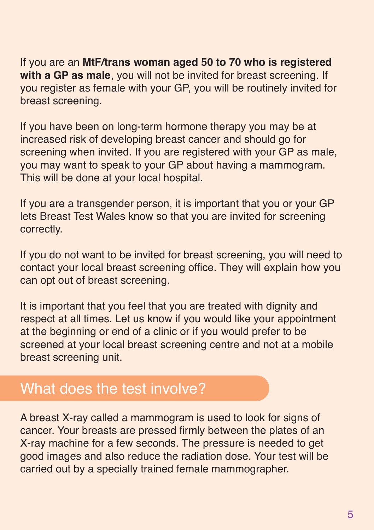If you are an **MtF/trans woman aged 50 to 70 who is registered with a GP as male**, you will not be invited for breast screening. If you register as female with your GP, you will be routinely invited for breast screening.

If you have been on long-term hormone therapy you may be at increased risk of developing breast cancer and should go for screening when invited. If you are registered with your GP as male. you may want to speak to your GP about having a mammogram. This will be done at your local hospital.

If you are a transgender person, it is important that you or your GP lets Breast Test Wales know so that you are invited for screening correctly.

If you do not want to be invited for breast screening, you will need to contact your local breast screening office. They will explain how you can opt out of breast screening.

It is important that you feel that you are treated with dignity and respect at all times. Let us know if you would like your appointment at the beginning or end of a clinic or if you would prefer to be screened at your local breast screening centre and not at a mobile breast screening unit.

#### What does the test involve?

A breast X-ray called a mammogram is used to look for signs of cancer. Your breasts are pressed firmly between the plates of an X-ray machine for a few seconds. The pressure is needed to get good images and also reduce the radiation dose. Your test will be carried out by a specially trained female mammographer.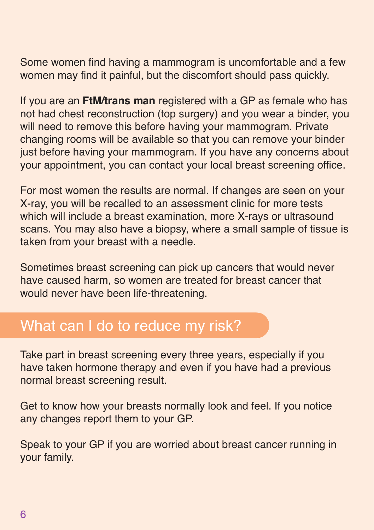Some women find having a mammogram is uncomfortable and a few women may find it painful, but the discomfort should pass quickly.

If you are an **FtM/trans man** registered with a GP as female who has not had chest reconstruction (top surgery) and you wear a binder, you will need to remove this before having your mammogram. Private changing rooms will be available so that you can remove your binder just before having your mammogram. If you have any concerns about your appointment, you can contact your local breast screening office.

For most women the results are normal. If changes are seen on your X-ray, you will be recalled to an assessment clinic for more tests which will include a breast examination, more X-rays or ultrasound scans. You may also have a biopsy, where a small sample of tissue is taken from your breast with a needle.

Sometimes breast screening can pick up cancers that would never have caused harm, so women are treated for breast cancer that would never have been life-threatening.

#### What can I do to reduce my risk?

Take part in breast screening every three years, especially if you have taken hormone therapy and even if you have had a previous normal breast screening result.

Get to know how your breasts normally look and feel. If you notice any changes report them to your GP.

Speak to your GP if you are worried about breast cancer running in your family.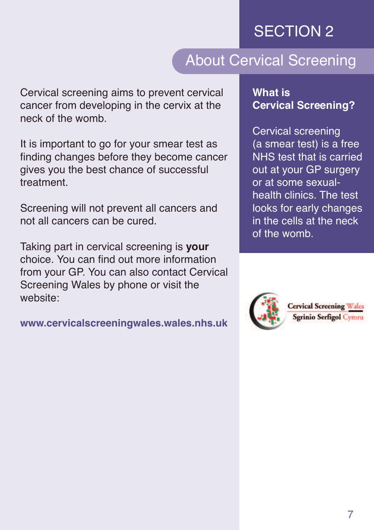## About Cervical Screening

Cervical screening aims to prevent cervical cancer from developing in the cervix at the neck of the womb.

It is important to go for your smear test as finding changes before they become cancer gives you the best chance of successful treatment.

Screening will not prevent all cancers and not all cancers can be cured.

Taking part in cervical screening is **your** choice. You can find out more information from your GP. You can also contact Cervical Screening Wales by phone or visit the website:

**www.cervicalscreeningwales.wales.nhs.uk**

#### **What is Cervical Screening?**

Cervical screening (a smear test) is a free NHS test that is carried out at your GP surgery or at some sexualhealth clinics. The test looks for early changes in the cells at the neck of the womb.



**Cervical Screening Wales Sgrinio Serfigol Cymru**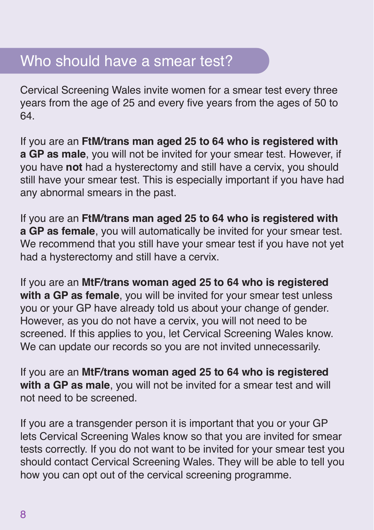#### Who should have a smear test?

Cervical Screening Wales invite women for a smear test every three years from the age of 25 and every five years from the ages of 50 to 64.

If you are an **FtM/trans man aged 25 to 64 who is registered with a GP as male**, you will not be invited for your smear test. However, if you have **not** had a hysterectomy and still have a cervix, you should still have your smear test. This is especially important if you have had any abnormal smears in the past.

If you are an **FtM/trans man aged 25 to 64 who is registered with a GP as female**, you will automatically be invited for your smear test. We recommend that you still have your smear test if you have not yet had a hysterectomy and still have a cervix.

If you are an **MtF/trans woman aged 25 to 64 who is registered with a GP as female**, you will be invited for your smear test unless you or your GP have already told us about your change of gender. However, as you do not have a cervix, you will not need to be screened. If this applies to you, let Cervical Screening Wales know. We can update our records so you are not invited unnecessarily.

If you are an **MtF/trans woman aged 25 to 64 who is registered with a GP as male**, you will not be invited for a smear test and will not need to be screened.

If you are a transgender person it is important that you or your GP lets Cervical Screening Wales know so that you are invited for smear tests correctly. If you do not want to be invited for your smear test you should contact Cervical Screening Wales. They will be able to tell you how you can opt out of the cervical screening programme.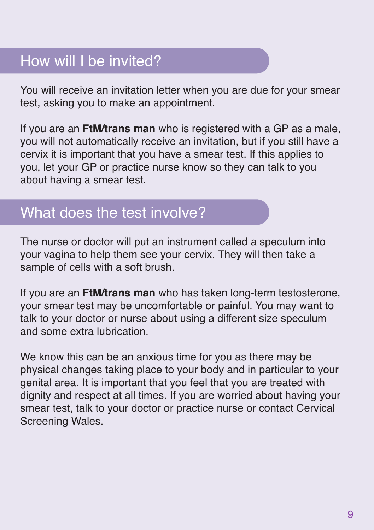## How will I be invited?

You will receive an invitation letter when you are due for your smear test, asking you to make an appointment.

If you are an **FtM/trans man** who is registered with a GP as a male, you will not automatically receive an invitation, but if you still have a cervix it is important that you have a smear test. If this applies to you, let your GP or practice nurse know so they can talk to you about having a smear test.

#### What does the test involve?

The nurse or doctor will put an instrument called a speculum into your vagina to help them see your cervix. They will then take a sample of cells with a soft brush.

If you are an **FtM/trans man** who has taken long-term testosterone, your smear test may be uncomfortable or painful. You may want to talk to your doctor or nurse about using a different size speculum and some extra lubrication.

We know this can be an anxious time for you as there may be physical changes taking place to your body and in particular to your genital area. It is important that you feel that you are treated with dignity and respect at all times. If you are worried about having your smear test, talk to your doctor or practice nurse or contact Cervical Screening Wales.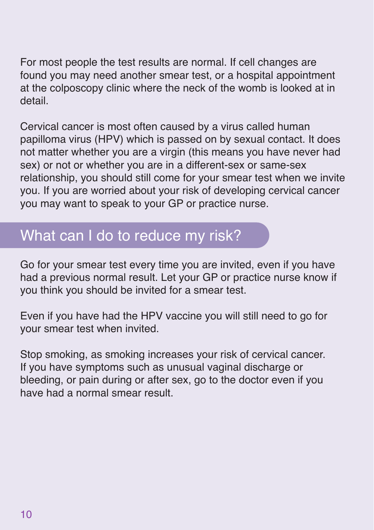For most people the test results are normal. If cell changes are found you may need another smear test, or a hospital appointment at the colposcopy clinic where the neck of the womb is looked at in detail.

Cervical cancer is most often caused by a virus called human papilloma virus (HPV) which is passed on by sexual contact. It does not matter whether you are a virgin (this means you have never had sex) or not or whether you are in a different-sex or same-sex relationship, you should still come for your smear test when we invite you. If you are worried about your risk of developing cervical cancer you may want to speak to your GP or practice nurse.

#### What can I do to reduce my risk?

Go for your smear test every time you are invited, even if you have had a previous normal result. Let your GP or practice nurse know if you think you should be invited for a smear test.

Even if you have had the HPV vaccine you will still need to go for your smear test when invited.

Stop smoking, as smoking increases your risk of cervical cancer. If you have symptoms such as unusual vaginal discharge or bleeding, or pain during or after sex, go to the doctor even if you have had a normal smear result.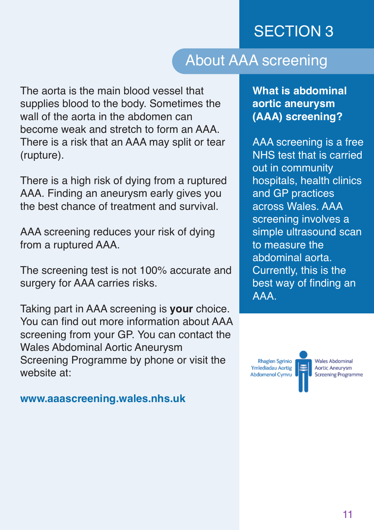### About AAA screening

The aorta is the main blood vessel that supplies blood to the body. Sometimes the wall of the aorta in the abdomen can become weak and stretch to form an AAA. There is a risk that an AAA may split or tear (rupture).

There is a high risk of dying from a ruptured AAA. Finding an aneurysm early gives you the best chance of treatment and survival.

AAA screening reduces your risk of dying from a ruptured AAA.

The screening test is not 100% accurate and surgery for AAA carries risks.

Taking part in AAA screening is **your** choice. You can find out more information about AAA screening from your GP. You can contact the Wales Abdominal Aortic Aneurysm Screening Programme by phone or visit the website at:

**www.aaascreening.wales.nhs.uk**

**What is abdominal aortic aneurysm (AAA) screening?**

AAA screening is a free NHS test that is carried out in community hospitals, health clinics and GP practices across Wales. AAA screening involves a simple ultrasound scan to measure the abdominal aorta. Currently, this is the best way of finding an AAA.

**Rhaglen Sgrinio** Ymlediadau Aortig Abdomenol Cymru

۳

**Wales Abdominal Aortic Aneurysm Screening Programme**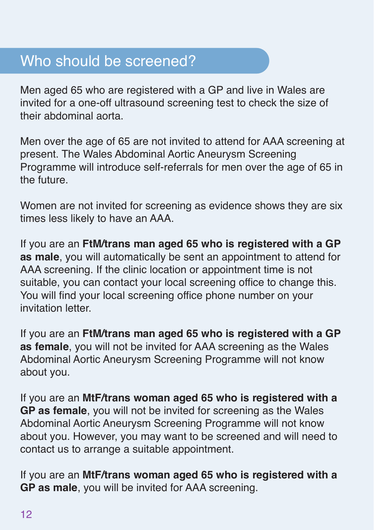#### Who should be screened?

Men aged 65 who are registered with a GP and live in Wales are invited for a one-off ultrasound screening test to check the size of their abdominal aorta.

Men over the age of 65 are not invited to attend for AAA screening at present. The Wales Abdominal Aortic Aneurysm Screening Programme will introduce self-referrals for men over the age of 65 in the future.

Women are not invited for screening as evidence shows they are six times less likely to have an AAA.

If you are an **FtM/trans man aged 65 who is registered with a GP as male**, you will automatically be sent an appointment to attend for AAA screening. If the clinic location or appointment time is not suitable, you can contact your local screening office to change this. You will find your local screening office phone number on your invitation letter.

If you are an **FtM/trans man aged 65 who is registered with a GP as female**, you will not be invited for AAA screening as the Wales Abdominal Aortic Aneurysm Screening Programme will not know about you.

If you are an **MtF/trans woman aged 65 who is registered with a GP as female**, you will not be invited for screening as the Wales Abdominal Aortic Aneurysm Screening Programme will not know about you. However, you may want to be screened and will need to contact us to arrange a suitable appointment.

If you are an **MtF/trans woman aged 65 who is registered with a GP as male**, you will be invited for AAA screening.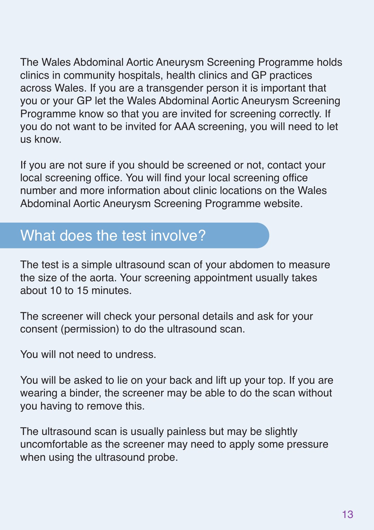The Wales Abdominal Aortic Aneurysm Screening Programme holds clinics in community hospitals, health clinics and GP practices across Wales. If you are a transgender person it is important that you or your GP let the Wales Abdominal Aortic Aneurysm Screening Programme know so that you are invited for screening correctly. If you do not want to be invited for AAA screening, you will need to let us know.

If you are not sure if you should be screened or not, contact your local screening office. You will find your local screening office number and more information about clinic locations on the Wales Abdominal Aortic Aneurysm Screening Programme website.

## What does the test involve?

The test is a simple ultrasound scan of your abdomen to measure the size of the aorta. Your screening appointment usually takes about 10 to 15 minutes.

The screener will check your personal details and ask for your consent (permission) to do the ultrasound scan.

You will not need to undress.

You will be asked to lie on your back and lift up your top. If you are wearing a binder, the screener may be able to do the scan without you having to remove this.

The ultrasound scan is usually painless but may be slightly uncomfortable as the screener may need to apply some pressure when using the ultrasound probe.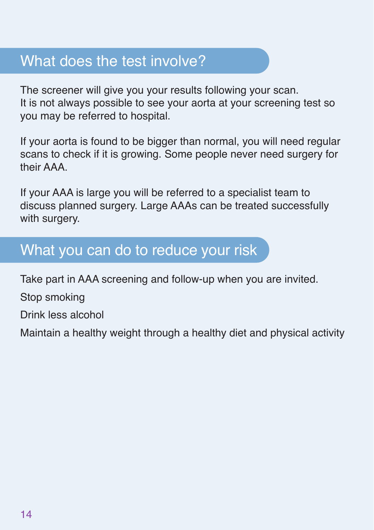## What does the test involve?

The screener will give you your results following your scan. It is not always possible to see your aorta at your screening test so you may be referred to hospital.

If your aorta is found to be bigger than normal, you will need regular scans to check if it is growing. Some people never need surgery for their AAA.

If your AAA is large you will be referred to a specialist team to discuss planned surgery. Large AAAs can be treated successfully with surgery.

#### What you can do to reduce your risk

Take part in AAA screening and follow-up when you are invited.

Stop smoking

Drink less alcohol

Maintain a healthy weight through a healthy diet and physical activity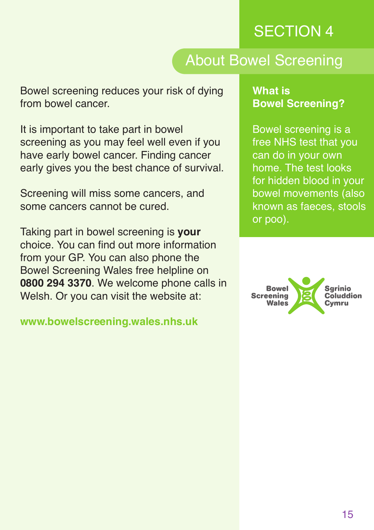### About Bowel Screening

Bowel screening reduces your risk of dying from bowel cancer.

It is important to take part in bowel screening as you may feel well even if you have early bowel cancer. Finding cancer early gives you the best chance of survival.

Screening will miss some cancers, and some cancers cannot be cured.

Taking part in bowel screening is **your** choice. You can find out more information from your GP. You can also phone the Bowel Screening Wales free helpline on **0800 294 3370**. We welcome phone calls in Welsh. Or you can visit the website at:

**www.bowelscreening.wales.nhs.uk**

#### **What is Bowel Screening?**

Bowel screening is a free NHS test that you can do in your own home. The test looks for hidden blood in your bowel movements (also known as faeces, stools or poo).

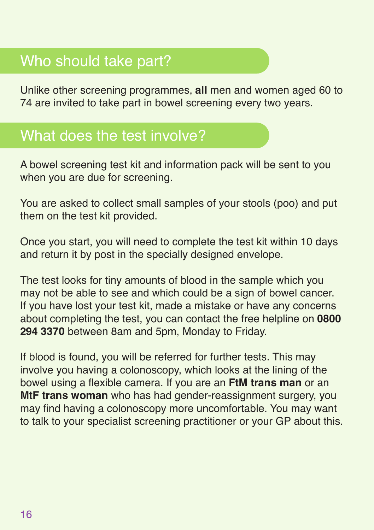# Who should take part?

Unlike other screening programmes, **all** men and women aged 60 to 74 are invited to take part in bowel screening every two years.

## What does the test involve?

A bowel screening test kit and information pack will be sent to you when you are due for screening.

You are asked to collect small samples of your stools (poo) and put them on the test kit provided.

Once you start, you will need to complete the test kit within 10 days and return it by post in the specially designed envelope.

The test looks for tiny amounts of blood in the sample which you may not be able to see and which could be a sign of bowel cancer. If you have lost your test kit, made a mistake or have any concerns about completing the test, you can contact the free helpline on **0800 294 3370** between 8am and 5pm, Monday to Friday.

If blood is found, you will be referred for further tests. This may involve you having a colonoscopy, which looks at the lining of the bowel using a flexible camera. If you are an **FtM trans man** or an **MtF trans woman** who has had gender-reassignment surgery, you may find having a colonoscopy more uncomfortable. You may want to talk to your specialist screening practitioner or your GP about this.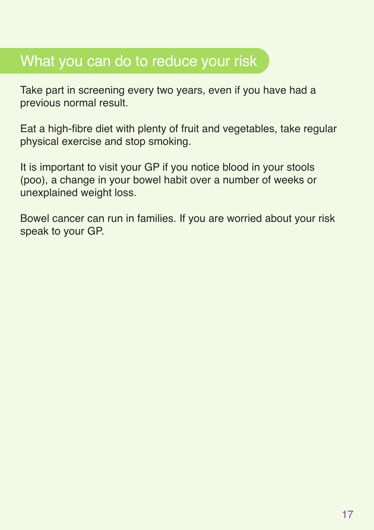## What you can do to reduce your risk

Take part in screening every two years, even if you have had a previous normal result.

Eat a high-fibre diet with plenty of fruit and vegetables, take regular physical exercise and stop smoking.

It is important to visit your GP if you notice blood in your stools (poo), a change in your bowel habit over a number of weeks or unexplained weight loss.

Bowel cancer can run in families. If you are worried about your risk speak to your GP.